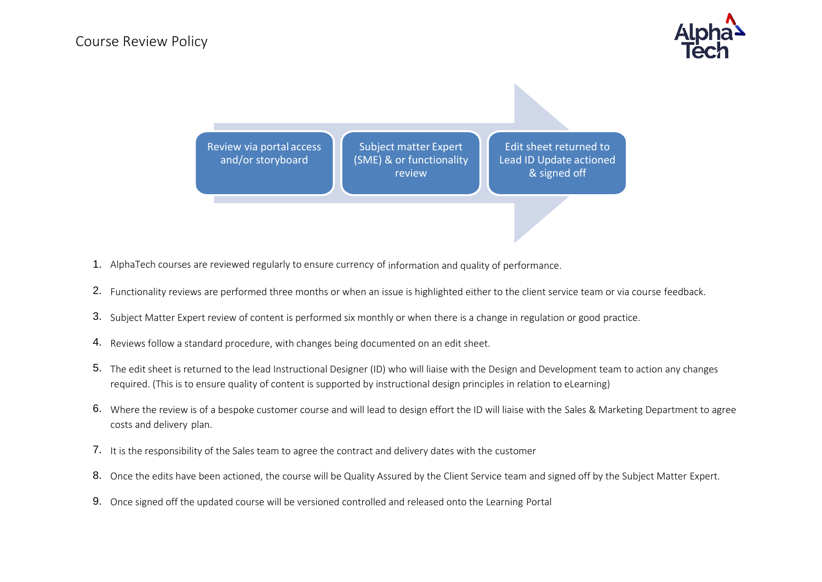

Review via portal access and/or storyboard Subject matter Expert (SME) & or functionality review Edit sheet returned to Lead ID Update actioned & signed off

- 1. AlphaTech courses are reviewed regularly to ensure currency of information and quality of performance.
- 2. Functionality reviews are performed three months or when an issue is highlighted either to the client service team or via course feedback.
- 3. Subject Matter Expert review of content is performed six monthly or when there is a change in regulation or good practice.
- 4. Reviews follow a standard procedure, with changes being documented on an edit sheet.
- 5. The edit sheet is returned to the lead Instructional Designer (ID) who will liaise with the Design and Development team to action any changes required. (This is to ensure quality of content is supported by instructional design principles in relation to eLearning)
- 6. Where the review is of a bespoke customer course and will lead to design effort the ID will liaise with the Sales & Marketing Department to agree costs and delivery plan.
- 7. It is the responsibility of the Sales team to agree the contract and delivery dates with the customer
- 8. Once the edits have been actioned, the course will be Quality Assured by the Client Service team and signed off by the Subject Matter Expert.
- 9. Once signed off the updated course will be versioned controlled and released onto the Learning Portal